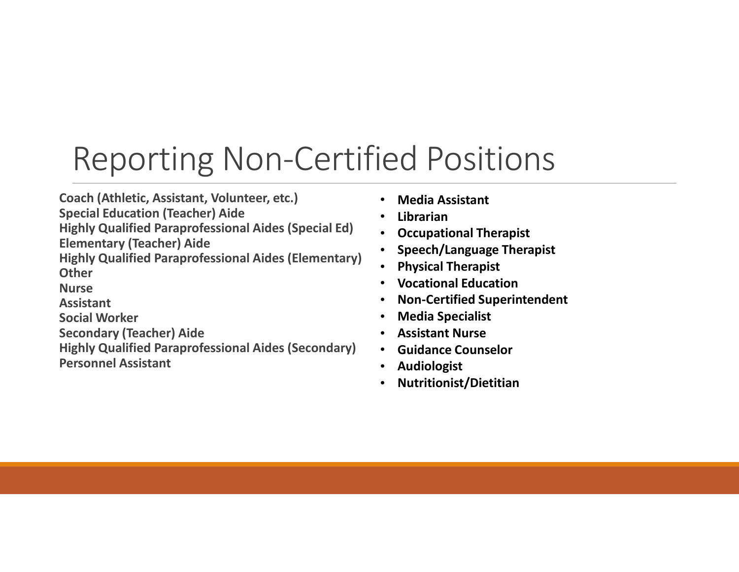## Reporting Non-Certified Positions

Coach (Athletic, Assistant, Volunteer, etc.)

Special Education (Teacher) Aide

Highly Qualified Paraprofessional Aides (Special Ed) Elementary (Teacher) Aide

Highly Qualified Paraprofessional Aides (Elementary) **Other** 

Nurse

Assistant

Social Worker

Secondary (Teacher) Aide

Highly Qualified Paraprofessional Aides (Secondary) Personnel Assistant

- Media Assistant
- **Librarian**
- Occupational Therapist
- Speech/Language Therapist
- Physical Therapist
- Vocational Education
- Non-Certified Superintendent
- Media Specialist
- Assistant Nurse
- Guidance Counselor
- **Audiologist**
- Nutritionist/Dietitian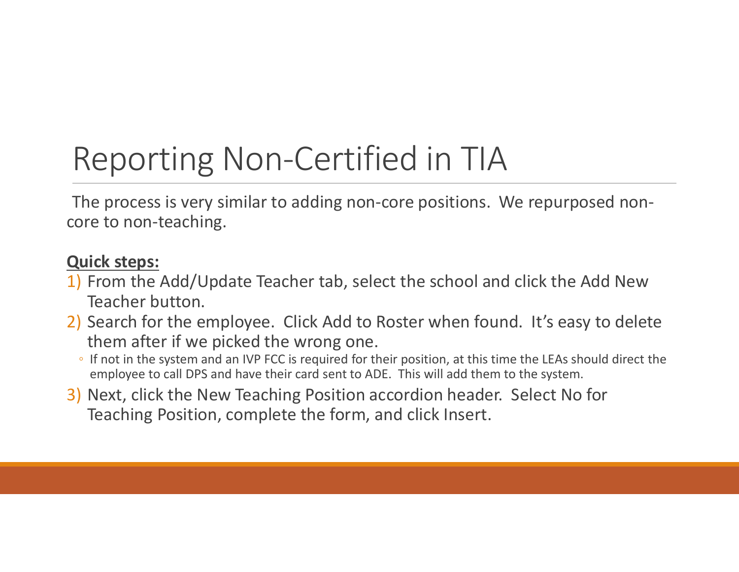## Reporting Non-Certified in TIA

The process is very similar to adding non-core positions. We repurposed noncore to non-teaching.

#### Quick steps:

- 1) From the Add/Update Teacher tab, select the school and click the Add New Teacher button.
- 2) Search for the employee. Click Add to Roster when found. It's easy to delete them after if we picked the wrong one.
	- If not in the system and an IVP FCC is required for their position, at this time the LEAs should direct the employee to call DPS and have their card sent to ADE. This will add them to the system.
- 3) Next, click the New Teaching Position accordion header. Select No for Teaching Position, complete the form, and click Insert.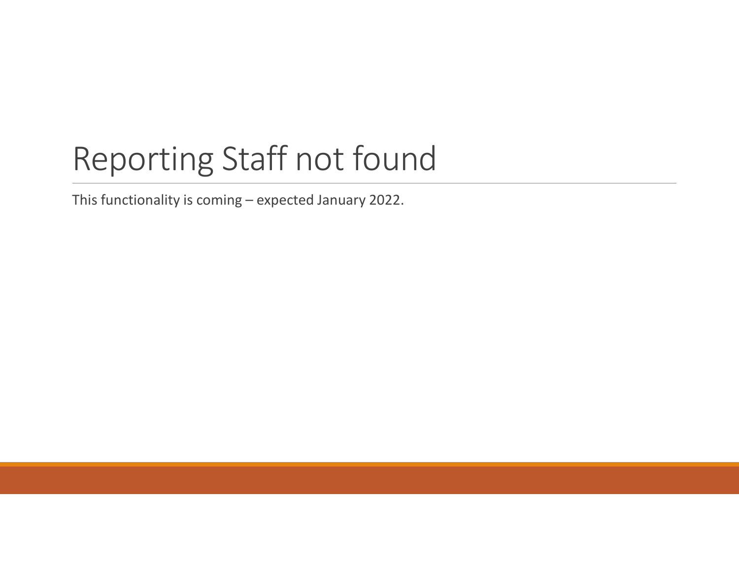# Reporting Staff not found Reporting Staff not found<br>This functionality is coming – expected January 2022.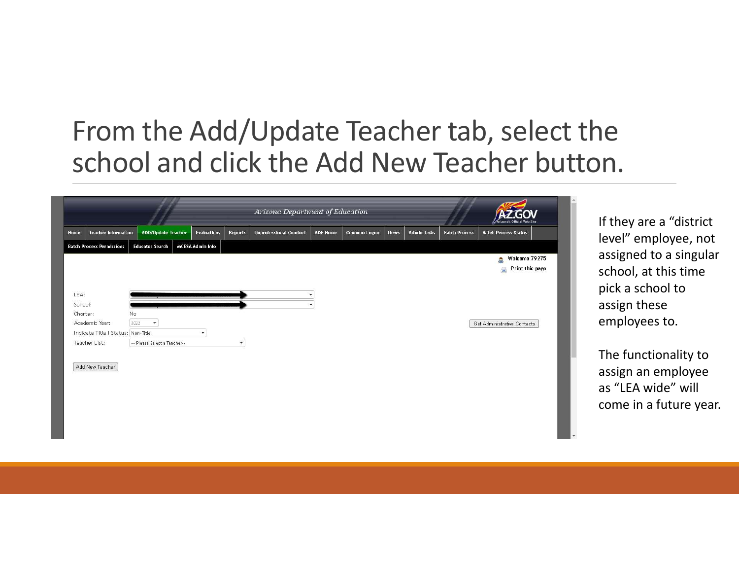#### From the Add/Update Teacher tab, select the school and click the Add New Teacher button.

|                                    |                              |                         |                          | Arizona Department of Education |                           |                     |             |                    |                      | Arizona's Official Web Site                 |
|------------------------------------|------------------------------|-------------------------|--------------------------|---------------------------------|---------------------------|---------------------|-------------|--------------------|----------------------|---------------------------------------------|
| <b>Teacher Information</b><br>Home | <b>ADD/Update Teacher</b>    | <b>Evaluations</b>      | <b>Reports</b>           | <b>Unprofessional Conduct</b>   | <b>ADE Home</b>           | <b>Common Logon</b> | <b>News</b> | <b>Admin Tasks</b> | <b>Batch Process</b> | <b>Batch Process Status</b>                 |
| <b>Batch Process Permissions</b>   | <b>Educator Search</b>       | <b>MCESA Admin Info</b> |                          |                                 |                           |                     |             |                    |                      |                                             |
|                                    |                              |                         |                          |                                 |                           |                     |             |                    |                      | Welcome 79275<br>å.<br>Print this page<br>6 |
|                                    |                              |                         |                          |                                 |                           |                     |             |                    |                      |                                             |
| LEA:<br>School:                    |                              |                         |                          |                                 | $\blacktriangledown$<br>v |                     |             |                    |                      |                                             |
| Charter:                           | No                           |                         |                          |                                 |                           |                     |             |                    |                      |                                             |
| Academic Year:                     | 2022<br>$\mathcal{R}$        |                         |                          |                                 |                           |                     |             |                    |                      | Get Administrative Contacts                 |
| Indicate Title   Status: Non-Title |                              | $\pmb{\mathrm{v}}$      |                          |                                 |                           |                     |             |                    |                      |                                             |
| Teacher List:                      | -- Please Select a Teacher-- |                         | $\overline{\phantom{a}}$ |                                 |                           |                     |             |                    |                      |                                             |
| Add New Teacher                    |                              |                         |                          |                                 |                           |                     |             |                    |                      |                                             |

If they are a "district level" employee, not assigned to a singular school, at this time pick a school to assign these employees to.

The functionality to assign an employee as "LEA wide" will come in a future year.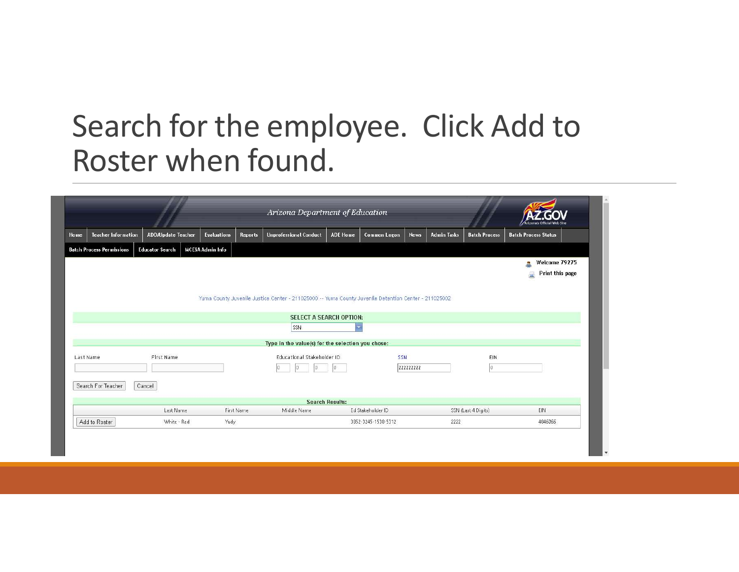### Search for the employee. Click Add to Roster when found.

|                                  |                           |                         |                | Arizona Department of Education                                                                      |                         |                     |             |                    |                      | <b>Arizona's Official Web Site</b>         |
|----------------------------------|---------------------------|-------------------------|----------------|------------------------------------------------------------------------------------------------------|-------------------------|---------------------|-------------|--------------------|----------------------|--------------------------------------------|
| <b>Teacher Information</b>       | <b>ADD/Update Teacher</b> | <b>Evaluations</b>      | <b>Reports</b> | <b>Unprofessional Conduct</b>                                                                        | <b>ADE Home</b>         | <b>Common Logon</b> | <b>News</b> | <b>Admin Tasks</b> | <b>Batch Process</b> | <b>Batch Process Status</b>                |
| <b>Batch Process Permissions</b> | <b>Educator Search</b>    | <b>MCESA Admin Info</b> |                |                                                                                                      |                         |                     |             |                    |                      |                                            |
|                                  |                           |                         |                | Yuma County Juvenile Justice Center - 211025000 -- Yuma County Juvenile Detention Center - 211025002 |                         |                     |             |                    |                      | Welcome 79275<br>A<br>Print this page<br>量 |
|                                  |                           |                         |                | <b>SELECT A SEARCH OPTION:</b>                                                                       |                         |                     |             |                    |                      |                                            |
|                                  |                           |                         |                | SSN                                                                                                  | $\overline{\mathbf{v}}$ |                     |             |                    |                      |                                            |
|                                  |                           |                         |                |                                                                                                      |                         |                     |             |                    |                      |                                            |
|                                  |                           |                         |                | Type in the value(s) for the selection you chose:                                                    |                         |                     |             |                    |                      |                                            |
| Last Name<br>Search For Teacher  | First Name<br>Cancel      |                         |                | Educational Stakeholder ID                                                                           |                         | SSN                 | 222222222   |                    | <b>EIN</b><br>la.    |                                            |
|                                  |                           |                         |                |                                                                                                      | <b>Search Results:</b>  |                     |             |                    |                      |                                            |
|                                  | Last Name                 |                         | First Name     | Middle Name                                                                                          |                         | Ed Stakeholder ID   |             |                    | SSN (Last 4 Digits)  | EIN                                        |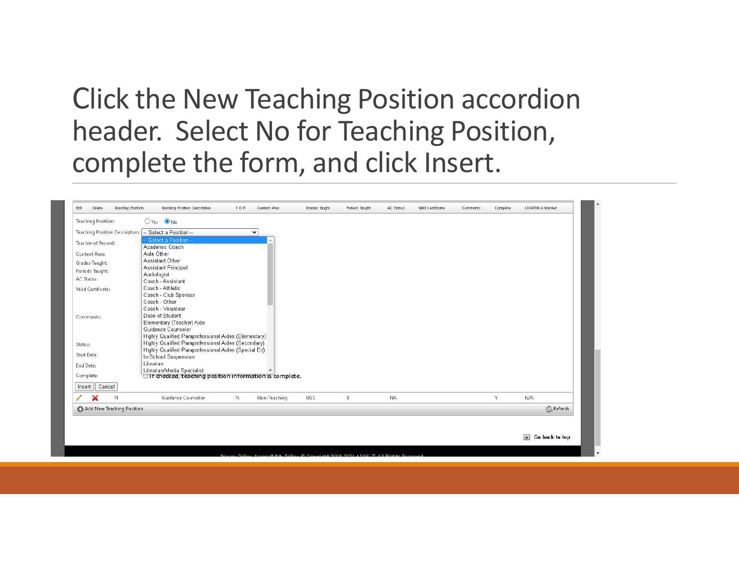#### Click the New Teaching Position accordion header. Select No for Teaching Position, complete the form, and click Insert.